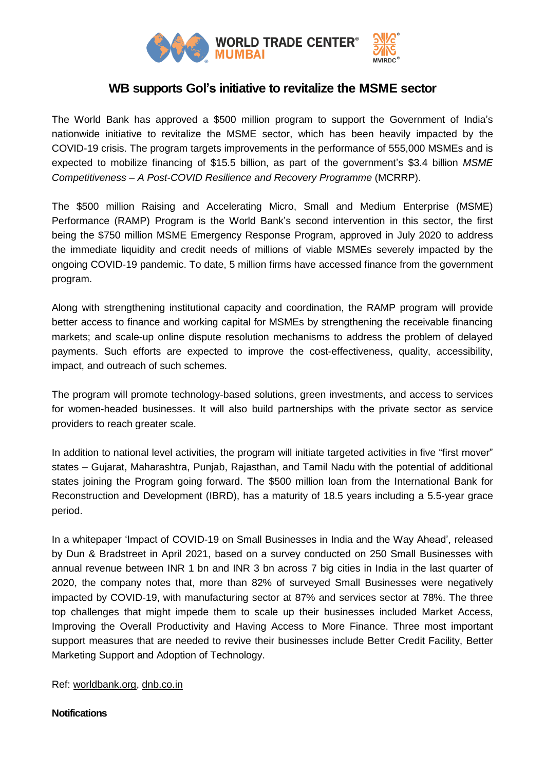

## **WB supports GoI's initiative to revitalize the MSME sector**

The World Bank has approved a \$500 million program to support the Government of India's nationwide initiative to revitalize the MSME sector, which has been heavily impacted by the COVID-19 crisis. The program targets improvements in the performance of 555,000 MSMEs and is expected to mobilize financing of \$15.5 billion, as part of the government's \$3.4 billion *MSME Competitiveness – A Post-COVID Resilience and Recovery Programme* (MCRRP).

The \$500 million Raising and Accelerating Micro, Small and Medium Enterprise (MSME) Performance (RAMP) Program is the World Bank's second intervention in this sector, the first being the \$750 million MSME Emergency Response Program, approved in July 2020 to address the immediate liquidity and credit needs of millions of viable MSMEs severely impacted by the ongoing COVID-19 pandemic. To date, 5 million firms have accessed finance from the government program.

Along with strengthening institutional capacity and coordination, the RAMP program will provide better access to finance and working capital for MSMEs by strengthening the receivable financing markets; and scale-up online dispute resolution mechanisms to address the problem of delayed payments. Such efforts are expected to improve the cost-effectiveness, quality, accessibility, impact, and outreach of such schemes.

The program will promote technology-based solutions, green investments, and access to services for women-headed businesses. It will also build partnerships with the private sector as service providers to reach greater scale.

In addition to national level activities, the program will initiate targeted activities in five "first mover" states – Gujarat, Maharashtra, Punjab, Rajasthan, and Tamil Nadu with the potential of additional states joining the Program going forward. The \$500 million loan from the International Bank for Reconstruction and Development (IBRD), has a maturity of 18.5 years including a 5.5-year grace period.

In a whitepaper 'Impact of COVID-19 on Small Businesses in India and the Way Ahead', released by Dun & Bradstreet in April 2021, based on a survey conducted on 250 Small Businesses with annual revenue between INR 1 bn and INR 3 bn across 7 big cities in India in the last quarter of 2020, the company notes that, more than 82% of surveyed Small Businesses were negatively impacted by COVID-19, with manufacturing sector at 87% and services sector at 78%. The three top challenges that might impede them to scale up their businesses included Market Access, Improving the Overall Productivity and Having Access to More Finance. Three most important support measures that are needed to revive their businesses include Better Credit Facility, Better Marketing Support and Adoption of Technology.

## Ref: [worldbank.org,](http://worldbank.org/) [dnb.co.in](http://dnb.co.in/)

## **Notifications**